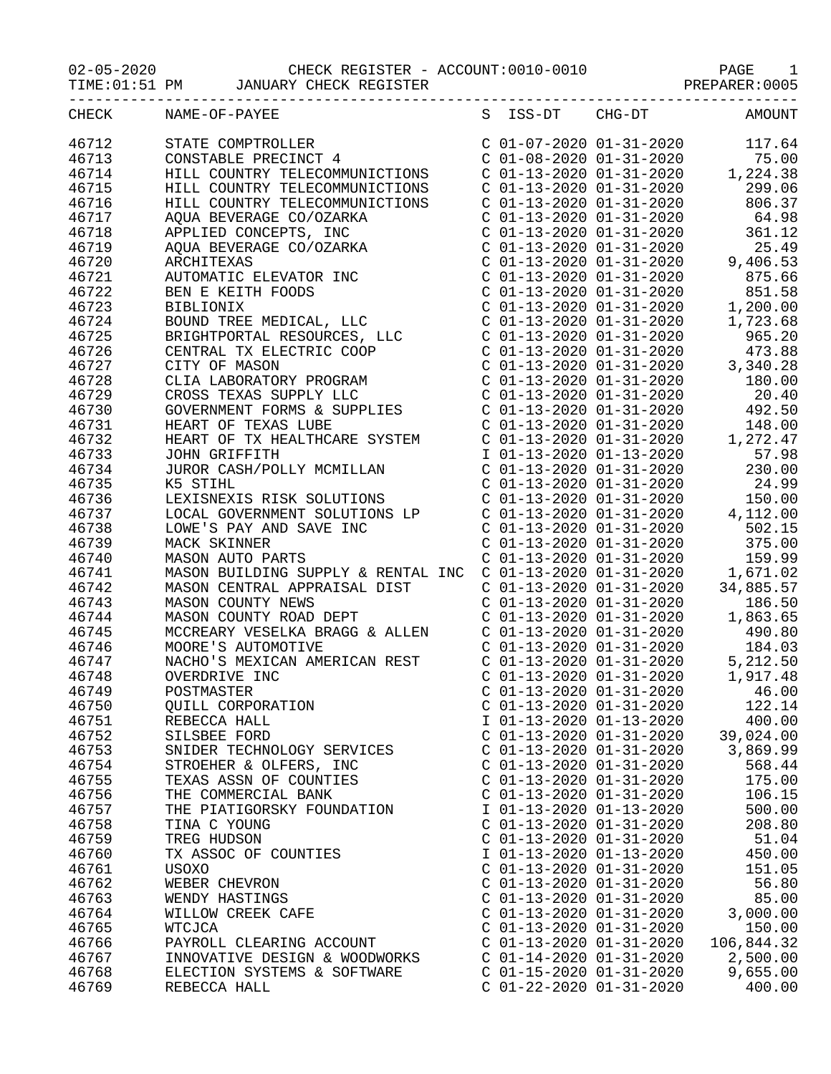02-05-2020 CHECK REGISTER - ACCOUNT:0010-0010 PAGE 1

TIME:01:51 PM JANUARY CHECK REGISTER **FOREABLE REGISTER** PREPARER:0005

| CHECK | NAME-OF-PAYEE                                                                                                                                                                                                                                                                                                                                            |                           | S ISS-DT CHG-DT           | AMOUNT                          |
|-------|----------------------------------------------------------------------------------------------------------------------------------------------------------------------------------------------------------------------------------------------------------------------------------------------------------------------------------------------------------|---------------------------|---------------------------|---------------------------------|
| 46712 | STATE COMPTROLLER<br>CONSTABLE PRECINCT 4<br>CONSTABLE PRECINCT 4<br>COL-08-2020 01-31-2020<br>COL-13-2020 01-31-2020<br>COL-13-2020 01-31-2020<br>COL-13-2020 01-31-2020<br>COL-13-2020 01-31-2020<br>COL-13-2020 01-31-2020<br>COL-13-2020 01-                                                                                                         |                           |                           |                                 |
| 46713 |                                                                                                                                                                                                                                                                                                                                                          |                           |                           |                                 |
| 46714 |                                                                                                                                                                                                                                                                                                                                                          |                           |                           |                                 |
| 46715 |                                                                                                                                                                                                                                                                                                                                                          |                           |                           |                                 |
| 46716 | HILL COUNTRY TELECOMMUNICTIONS C 01-13-2020 01-31-2020 806.37                                                                                                                                                                                                                                                                                            |                           |                           |                                 |
| 46717 |                                                                                                                                                                                                                                                                                                                                                          |                           |                           |                                 |
| 46718 |                                                                                                                                                                                                                                                                                                                                                          |                           |                           |                                 |
| 46719 |                                                                                                                                                                                                                                                                                                                                                          |                           |                           |                                 |
| 46720 |                                                                                                                                                                                                                                                                                                                                                          |                           |                           |                                 |
| 46721 |                                                                                                                                                                                                                                                                                                                                                          |                           |                           |                                 |
| 46722 |                                                                                                                                                                                                                                                                                                                                                          |                           |                           |                                 |
| 46723 |                                                                                                                                                                                                                                                                                                                                                          |                           |                           |                                 |
| 46724 |                                                                                                                                                                                                                                                                                                                                                          |                           |                           |                                 |
| 46725 |                                                                                                                                                                                                                                                                                                                                                          |                           |                           |                                 |
| 46726 |                                                                                                                                                                                                                                                                                                                                                          |                           |                           |                                 |
| 46727 |                                                                                                                                                                                                                                                                                                                                                          |                           |                           |                                 |
| 46728 |                                                                                                                                                                                                                                                                                                                                                          |                           |                           |                                 |
| 46729 |                                                                                                                                                                                                                                                                                                                                                          |                           |                           |                                 |
| 46730 |                                                                                                                                                                                                                                                                                                                                                          |                           |                           |                                 |
| 46731 |                                                                                                                                                                                                                                                                                                                                                          |                           |                           |                                 |
| 46732 | $\begin{tabular}{l c c c c} {\it HILL COUNTRY TELECOMMUNICTIONS} & $\cal C~01-13-2020 & 01-31-2020 & 806.37 \\ {\it AQUA BEVERAGE CO/OZARKA} & $\cal C~01-13-2020 & 01-31-2020 & 64.98 \\ {\it AQUA BEVERAGE CO/OZARKA} & $\cal C~01-13-2020 & 01-31-2020 & 25.49 \\ {\it AQUA BEVERAGE CO/OZARKA} & $\cal C~01-13-2020 & 01-31-2020 & 9,406.53 \\ {\it$ |                           |                           |                                 |
| 46733 |                                                                                                                                                                                                                                                                                                                                                          |                           |                           |                                 |
| 46734 |                                                                                                                                                                                                                                                                                                                                                          |                           |                           |                                 |
| 46735 |                                                                                                                                                                                                                                                                                                                                                          |                           |                           |                                 |
| 46736 |                                                                                                                                                                                                                                                                                                                                                          |                           |                           |                                 |
| 46737 |                                                                                                                                                                                                                                                                                                                                                          |                           |                           |                                 |
| 46738 |                                                                                                                                                                                                                                                                                                                                                          |                           |                           |                                 |
| 46739 |                                                                                                                                                                                                                                                                                                                                                          |                           |                           |                                 |
| 46740 |                                                                                                                                                                                                                                                                                                                                                          |                           |                           |                                 |
| 46741 | MASON AUTO PARTS<br>MASON BUILDING SUPPLY & RENTAL INC C 01-13-2020 01-31-2020 1,671.02<br>MASON CENTRAL APPRAISAL DIST C 01-13-2020 01-31-2020 34,885.57                                                                                                                                                                                                |                           |                           |                                 |
| 46742 |                                                                                                                                                                                                                                                                                                                                                          |                           |                           |                                 |
| 46743 | MASON CENTRAL APPRAISAL DIST<br>MASON COUNTY NEWS<br>MASON COUNTY NEWS<br>MASON COUNTY ROAD DEPT<br>C 01-13-2020 01-31-2020<br>C 01-13-2020 01-31-2020 1,863.65                                                                                                                                                                                          |                           |                           |                                 |
| 46744 |                                                                                                                                                                                                                                                                                                                                                          |                           |                           |                                 |
| 46745 |                                                                                                                                                                                                                                                                                                                                                          |                           |                           |                                 |
| 46746 |                                                                                                                                                                                                                                                                                                                                                          |                           |                           |                                 |
| 46747 | MASON COUNTY ROAD DEPT<br>MCCREARY VESELKA BRAGG & ALLEN<br>MOORE'S AUTOMOTIVE<br>MOORE'S AUTOMOTIVE<br>MACHO'S MEXICAN AMERICAN REST<br>OVERDRIVE INC<br>C 01-13-2020 01-31-2020<br>C 01-13-2020 01-31-2020<br>C 01-13-2020 01-31-2020<br>C 01-                                                                                                         |                           |                           |                                 |
| 46748 |                                                                                                                                                                                                                                                                                                                                                          |                           |                           |                                 |
| 46749 | POSTMASTER                                                                                                                                                                                                                                                                                                                                               |                           |                           | $C$ 01-13-2020 01-31-2020 46.00 |
| 46750 | QUILL CORPORATION                                                                                                                                                                                                                                                                                                                                        |                           | $C$ 01-13-2020 01-31-2020 | 122.14                          |
| 46751 | REBECCA HALL                                                                                                                                                                                                                                                                                                                                             | I 01-13-2020 01-13-2020   |                           | 400.00                          |
| 46752 | SILSBEE FORD                                                                                                                                                                                                                                                                                                                                             | $C$ 01-13-2020 01-31-2020 |                           | 39,024.00                       |
| 46753 | SNIDER TECHNOLOGY SERVICES                                                                                                                                                                                                                                                                                                                               | $C$ 01-13-2020 01-31-2020 |                           | 3,869.99                        |
| 46754 | STROEHER & OLFERS, INC                                                                                                                                                                                                                                                                                                                                   | $C$ 01-13-2020 01-31-2020 |                           | 568.44                          |
| 46755 | TEXAS ASSN OF COUNTIES                                                                                                                                                                                                                                                                                                                                   | $C$ 01-13-2020 01-31-2020 |                           | 175.00                          |
| 46756 | THE COMMERCIAL BANK                                                                                                                                                                                                                                                                                                                                      | $C$ 01-13-2020 01-31-2020 |                           | 106.15                          |
| 46757 | THE PIATIGORSKY FOUNDATION                                                                                                                                                                                                                                                                                                                               | I 01-13-2020 01-13-2020   |                           | 500.00                          |
| 46758 | TINA C YOUNG                                                                                                                                                                                                                                                                                                                                             | $C$ 01-13-2020 01-31-2020 |                           | 208.80                          |
| 46759 | TREG HUDSON                                                                                                                                                                                                                                                                                                                                              | $C$ 01-13-2020 01-31-2020 |                           | 51.04                           |
| 46760 | TX ASSOC OF COUNTIES                                                                                                                                                                                                                                                                                                                                     | I 01-13-2020 01-13-2020   |                           | 450.00                          |
| 46761 | USOXO                                                                                                                                                                                                                                                                                                                                                    | $C$ 01-13-2020 01-31-2020 |                           | 151.05                          |
| 46762 | WEBER CHEVRON                                                                                                                                                                                                                                                                                                                                            | $C$ 01-13-2020 01-31-2020 |                           | 56.80                           |
| 46763 | WENDY HASTINGS                                                                                                                                                                                                                                                                                                                                           | $C$ 01-13-2020 01-31-2020 |                           | 85.00                           |
| 46764 | WILLOW CREEK CAFE                                                                                                                                                                                                                                                                                                                                        | $C$ 01-13-2020 01-31-2020 |                           | 3,000.00                        |
| 46765 | WTCJCA                                                                                                                                                                                                                                                                                                                                                   | $C$ 01-13-2020 01-31-2020 |                           | 150.00                          |
| 46766 | PAYROLL CLEARING ACCOUNT                                                                                                                                                                                                                                                                                                                                 | $C$ 01-13-2020 01-31-2020 |                           | 106,844.32                      |
| 46767 | INNOVATIVE DESIGN & WOODWORKS                                                                                                                                                                                                                                                                                                                            | $C$ 01-14-2020 01-31-2020 |                           | 2,500.00                        |
| 46768 | ELECTION SYSTEMS & SOFTWARE                                                                                                                                                                                                                                                                                                                              | $C$ 01-15-2020 01-31-2020 |                           | 9,655.00                        |
| 46769 | REBECCA HALL                                                                                                                                                                                                                                                                                                                                             | $C$ 01-22-2020 01-31-2020 |                           | 400.00                          |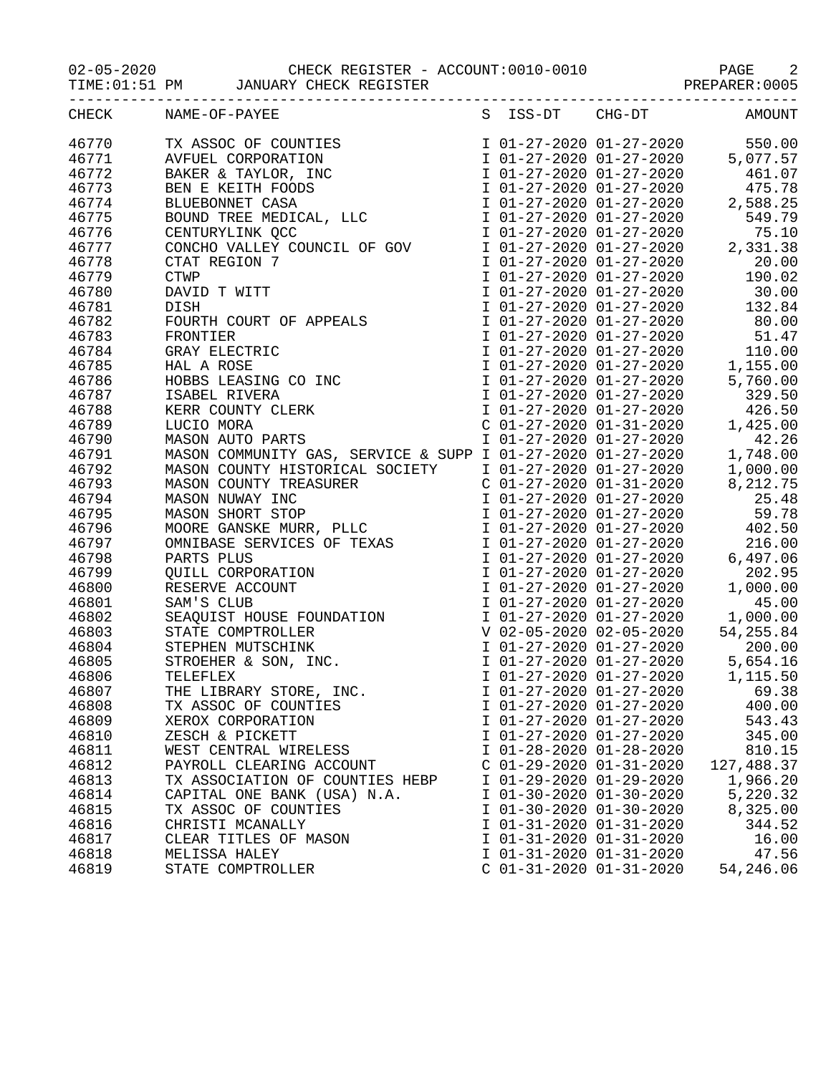02-05-2020 CHECK REGISTER - ACCOUNT:0010-0010 PAGE 2 02-05-2020 CHECK REGISTER - ACCOUNT:0010-0010 PAGE 2<br>TIME:01:51 PM JANUARY CHECK REGISTER PREPARER:0005

TIME:01:51 PM JANUARY CHECK REGISTER **FOREABLE REGISTER** PREPARER:0005

| CHECK | NAME-OF-PAYEE                                                                                                                                                                                                                                                                                                                                                                                                                               | S | ISS-DT                    | $CHG-DT$                                           | AMOUNT                                                                                                                                                                                                   |
|-------|---------------------------------------------------------------------------------------------------------------------------------------------------------------------------------------------------------------------------------------------------------------------------------------------------------------------------------------------------------------------------------------------------------------------------------------------|---|---------------------------|----------------------------------------------------|----------------------------------------------------------------------------------------------------------------------------------------------------------------------------------------------------------|
| 46770 | TX ASSOC OF COUNTIES<br>AVFUEL CORPORATION<br>BAKER & TAYLOR, INC<br>BEN E KEITH FOODS<br>BLUEBONNET CASA<br>BOUND TREE MEDICAL, LLC                                                                                                                                                                                                                                                                                                        |   |                           |                                                    | $\begin{tabular}{lllllllllll} \texttt{I} & 01-27-2020 & 01-27-2020 & & 550.00 \\ \texttt{I} & 01-27-2020 & 01-27-2020 & & 5\,077.57 \\ \texttt{I} & 01-27-2020 & 01-27-2020 & & 461.07 \\ \end{tabular}$ |
| 46771 |                                                                                                                                                                                                                                                                                                                                                                                                                                             |   |                           |                                                    |                                                                                                                                                                                                          |
| 46772 |                                                                                                                                                                                                                                                                                                                                                                                                                                             |   |                           |                                                    |                                                                                                                                                                                                          |
| 46773 |                                                                                                                                                                                                                                                                                                                                                                                                                                             |   |                           | I 01-27-2020 01-27-2020                            | 475.78                                                                                                                                                                                                   |
| 46774 |                                                                                                                                                                                                                                                                                                                                                                                                                                             |   |                           | I 01-27-2020 01-27-2020                            | 2,588.25                                                                                                                                                                                                 |
| 46775 |                                                                                                                                                                                                                                                                                                                                                                                                                                             |   |                           | I 01-27-2020 01-27-2020                            | 549.79                                                                                                                                                                                                   |
| 46776 |                                                                                                                                                                                                                                                                                                                                                                                                                                             |   |                           | I 01-27-2020 01-27-2020                            | 75.10                                                                                                                                                                                                    |
| 46777 |                                                                                                                                                                                                                                                                                                                                                                                                                                             |   |                           |                                                    | 2,331.38                                                                                                                                                                                                 |
| 46778 |                                                                                                                                                                                                                                                                                                                                                                                                                                             |   |                           |                                                    | $1 01-27-2020 01-27-2020\n1 01-27-2020 01-27-2020\n1 01-27-2020 01-27-2020\n20.00$                                                                                                                       |
| 46779 |                                                                                                                                                                                                                                                                                                                                                                                                                                             |   |                           |                                                    | I 01-27-2020 01-27-2020 190.02                                                                                                                                                                           |
| 46780 |                                                                                                                                                                                                                                                                                                                                                                                                                                             |   |                           | I 01-27-2020 01-27-2020                            | 30.00                                                                                                                                                                                                    |
| 46781 |                                                                                                                                                                                                                                                                                                                                                                                                                                             |   |                           | $\overline{1}$ 01-27-2020 01-27-2020               | 132.84                                                                                                                                                                                                   |
| 46782 |                                                                                                                                                                                                                                                                                                                                                                                                                                             |   |                           | I 01-27-2020 01-27-2020                            | 80.00                                                                                                                                                                                                    |
| 46783 |                                                                                                                                                                                                                                                                                                                                                                                                                                             |   |                           | I 01-27-2020 01-27-2020                            | 51.47                                                                                                                                                                                                    |
| 46784 |                                                                                                                                                                                                                                                                                                                                                                                                                                             |   |                           | I 01-27-2020 01-27-2020                            | 110.00                                                                                                                                                                                                   |
| 46785 |                                                                                                                                                                                                                                                                                                                                                                                                                                             |   |                           |                                                    | I 01-27-2020 01-27-2020 1,155.00                                                                                                                                                                         |
| 46786 |                                                                                                                                                                                                                                                                                                                                                                                                                                             |   |                           | I 01-27-2020 01-27-2020                            | 5,760.00                                                                                                                                                                                                 |
| 46787 |                                                                                                                                                                                                                                                                                                                                                                                                                                             |   |                           |                                                    | 329.50                                                                                                                                                                                                   |
| 46788 |                                                                                                                                                                                                                                                                                                                                                                                                                                             |   |                           | I 01-27-2020 01-27-2020<br>I 01-27-2020 01-27-2020 | 426.50                                                                                                                                                                                                   |
| 46789 |                                                                                                                                                                                                                                                                                                                                                                                                                                             |   |                           | $C$ 01-27-2020 01-31-2020                          | 1,425.00                                                                                                                                                                                                 |
| 46790 | BOUND TREE MEDICAL, LLC<br>CENTURYLINK QCC<br>CONCHO VALLEY COUNCIL OF GOV<br>CTAT REGION 7<br>CTWP<br>DAVID T WITT<br>DISH<br>FOURTH COURT OF APPEALS<br>FRONTIER<br>GRAY ELECTRIC<br>HAL A ROSE<br>HOBBS LEASING CO INC<br>ISABEL RIVERA<br>KERR COUNTY CLERK<br>LUCIO                                                                                                                                                                    |   |                           | I 01-27-2020 01-27-2020                            | 42.26                                                                                                                                                                                                    |
| 46791 |                                                                                                                                                                                                                                                                                                                                                                                                                                             |   |                           |                                                    | 1,748.00                                                                                                                                                                                                 |
| 46792 |                                                                                                                                                                                                                                                                                                                                                                                                                                             |   |                           |                                                    | 1,000.00                                                                                                                                                                                                 |
| 46793 | MASON COMMUNITY GAS, SERVICE & SUPP I 01-27-2020 01-27-2020<br>MASON COUNTY HISTORICAL SOCIETY I 01-27-2020 01-27-2020<br>MASON COUNTY TREASURER C 01-27-2020 01-31-2020<br>MASON COUNTY HISTORICAL SOCIETY<br>MASON COUNTY TREASURER<br>MASON NUWAY INC<br>MASON SHORT STOP<br>MOORE GANSKE MURR, PLLC<br>OMNIBASE SERVICES OF TEXAS<br>PARTS PLUS<br>QUILL CORPORATION<br>RESERVE ACCOUNT<br>SAM'S CLUB<br>SEAQUIST HOUSE FOUNDATION<br>S |   |                           |                                                    | 8,212.75                                                                                                                                                                                                 |
| 46794 |                                                                                                                                                                                                                                                                                                                                                                                                                                             |   |                           | I 01-27-2020 01-27-2020                            | 25.48                                                                                                                                                                                                    |
| 46795 |                                                                                                                                                                                                                                                                                                                                                                                                                                             |   |                           | I 01-27-2020 01-27-2020                            | 59.78                                                                                                                                                                                                    |
| 46796 |                                                                                                                                                                                                                                                                                                                                                                                                                                             |   |                           | I 01-27-2020 01-27-2020                            | 402.50                                                                                                                                                                                                   |
| 46797 |                                                                                                                                                                                                                                                                                                                                                                                                                                             |   |                           | I 01-27-2020 01-27-2020                            | 216.00                                                                                                                                                                                                   |
| 46798 |                                                                                                                                                                                                                                                                                                                                                                                                                                             |   |                           |                                                    | 6,497.06                                                                                                                                                                                                 |
| 46799 |                                                                                                                                                                                                                                                                                                                                                                                                                                             |   |                           |                                                    | 202.95                                                                                                                                                                                                   |
| 46800 |                                                                                                                                                                                                                                                                                                                                                                                                                                             |   |                           | I 01-27-2020 01-27-2020                            | 1,000.00                                                                                                                                                                                                 |
| 46801 |                                                                                                                                                                                                                                                                                                                                                                                                                                             |   | I 01-27-2020 01-27-2020   |                                                    | 45.00                                                                                                                                                                                                    |
| 46802 |                                                                                                                                                                                                                                                                                                                                                                                                                                             |   |                           | I 01-27-2020 01-27-2020                            | 1,000.00                                                                                                                                                                                                 |
| 46803 |                                                                                                                                                                                                                                                                                                                                                                                                                                             |   |                           |                                                    | 54, 255.84                                                                                                                                                                                               |
| 46804 |                                                                                                                                                                                                                                                                                                                                                                                                                                             |   |                           | V 02-05-2020 02-05-2020<br>I 01-27-2020 01-27-2020 | 200.00                                                                                                                                                                                                   |
| 46805 |                                                                                                                                                                                                                                                                                                                                                                                                                                             |   |                           | $1$ 01-27-2020 01-27-2020                          | 5,654.16                                                                                                                                                                                                 |
| 46806 |                                                                                                                                                                                                                                                                                                                                                                                                                                             |   |                           | I 01-27-2020 01-27-2020                            | 1,115.50                                                                                                                                                                                                 |
| 46807 | THE LIBRARY STORE, INC.                                                                                                                                                                                                                                                                                                                                                                                                                     |   |                           | I 01-27-2020 01-27-2020                            | 69.38                                                                                                                                                                                                    |
| 46808 | TX ASSOC OF COUNTIES                                                                                                                                                                                                                                                                                                                                                                                                                        |   | I 01-27-2020 01-27-2020   |                                                    | 400.00                                                                                                                                                                                                   |
| 46809 | XEROX CORPORATION                                                                                                                                                                                                                                                                                                                                                                                                                           |   | I 01-27-2020 01-27-2020   |                                                    | 543.43                                                                                                                                                                                                   |
| 46810 | ZESCH & PICKETT                                                                                                                                                                                                                                                                                                                                                                                                                             |   | I 01-27-2020 01-27-2020   |                                                    | 345.00                                                                                                                                                                                                   |
| 46811 | WEST CENTRAL WIRELESS                                                                                                                                                                                                                                                                                                                                                                                                                       |   | I 01-28-2020 01-28-2020   |                                                    | 810.15                                                                                                                                                                                                   |
| 46812 | PAYROLL CLEARING ACCOUNT                                                                                                                                                                                                                                                                                                                                                                                                                    |   | $C$ 01-29-2020 01-31-2020 |                                                    | 127,488.37                                                                                                                                                                                               |
| 46813 | TX ASSOCIATION OF COUNTIES HEBP                                                                                                                                                                                                                                                                                                                                                                                                             |   | I 01-29-2020 01-29-2020   |                                                    | 1,966.20                                                                                                                                                                                                 |
| 46814 | CAPITAL ONE BANK (USA) N.A.                                                                                                                                                                                                                                                                                                                                                                                                                 |   | I 01-30-2020 01-30-2020   |                                                    | 5,220.32                                                                                                                                                                                                 |
| 46815 | TX ASSOC OF COUNTIES                                                                                                                                                                                                                                                                                                                                                                                                                        |   | I 01-30-2020 01-30-2020   |                                                    | 8,325.00                                                                                                                                                                                                 |
| 46816 | CHRISTI MCANALLY                                                                                                                                                                                                                                                                                                                                                                                                                            |   | I 01-31-2020 01-31-2020   |                                                    | 344.52                                                                                                                                                                                                   |
| 46817 | CLEAR TITLES OF MASON                                                                                                                                                                                                                                                                                                                                                                                                                       |   | I 01-31-2020 01-31-2020   |                                                    | 16.00                                                                                                                                                                                                    |
| 46818 | MELISSA HALEY                                                                                                                                                                                                                                                                                                                                                                                                                               |   | I 01-31-2020 01-31-2020   |                                                    | 47.56                                                                                                                                                                                                    |
| 46819 | STATE COMPTROLLER                                                                                                                                                                                                                                                                                                                                                                                                                           |   | $C$ 01-31-2020 01-31-2020 |                                                    | 54,246.06                                                                                                                                                                                                |